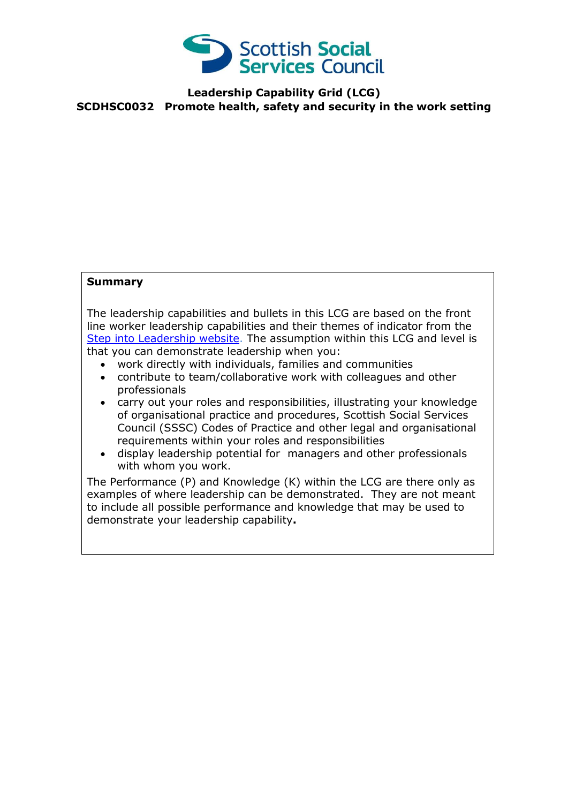

## **Leadership Capability Grid (LCG) SCDHSC0032 Promote health, safety and security in the work setting**

## **Summary**

The leadership capabilities and bullets in this LCG are based on the front line worker leadership capabilities and their themes of indicator from the [Step into Leadership website.](http://www.stepintoleadership.info/) The assumption within this LCG and level is that you can demonstrate leadership when you:

- work directly with individuals, families and communities
- contribute to team/collaborative work with colleagues and other professionals
- carry out your roles and responsibilities, illustrating your knowledge of organisational practice and procedures, Scottish Social Services Council (SSSC) Codes of Practice and other legal and organisational requirements within your roles and responsibilities
- display leadership potential for managers and other professionals with whom you work.

The Performance (P) and Knowledge (K) within the LCG are there only as examples of where leadership can be demonstrated. They are not meant to include all possible performance and knowledge that may be used to demonstrate your leadership capability**.**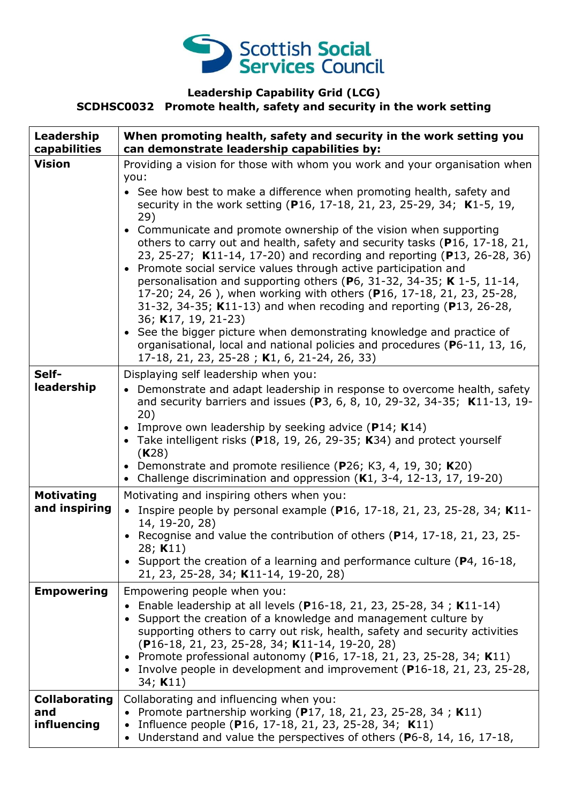

## **Leadership Capability Grid (LCG) SCDHSC0032 Promote health, safety and security in the work setting**

| Leadership<br>capabilities                 | When promoting health, safety and security in the work setting you<br>can demonstrate leadership capabilities by:                                                                                                                                                                                                                                                                                                                                                                                                                                                                                                                                                                                                                                                                                                                                                                                                                                                                                  |
|--------------------------------------------|----------------------------------------------------------------------------------------------------------------------------------------------------------------------------------------------------------------------------------------------------------------------------------------------------------------------------------------------------------------------------------------------------------------------------------------------------------------------------------------------------------------------------------------------------------------------------------------------------------------------------------------------------------------------------------------------------------------------------------------------------------------------------------------------------------------------------------------------------------------------------------------------------------------------------------------------------------------------------------------------------|
| <b>Vision</b>                              | Providing a vision for those with whom you work and your organisation when<br>you:<br>• See how best to make a difference when promoting health, safety and<br>security in the work setting (P16, 17-18, 21, 23, 25-29, 34; K1-5, 19,<br>29)<br>• Communicate and promote ownership of the vision when supporting<br>others to carry out and health, safety and security tasks (P16, 17-18, 21,<br>23, 25-27; K11-14, 17-20) and recording and reporting (P13, 26-28, 36)<br>• Promote social service values through active participation and<br>personalisation and supporting others (P6, 31-32, 34-35; K 1-5, 11-14,<br>17-20; 24, 26), when working with others (P16, 17-18, 21, 23, 25-28,<br>31-32, 34-35; K11-13) and when recoding and reporting (P13, 26-28,<br>36; K17, 19, 21-23)<br>• See the bigger picture when demonstrating knowledge and practice of<br>organisational, local and national policies and procedures (P6-11, 13, 16,<br>17-18, 21, 23, 25-28; K1, 6, 21-24, 26, 33) |
| Self-<br>leadership                        | Displaying self leadership when you:<br>• Demonstrate and adapt leadership in response to overcome health, safety<br>and security barriers and issues (P3, 6, 8, 10, 29-32, 34-35; K11-13, 19-<br>20)<br>• Improve own leadership by seeking advice (P14; K14)<br>• Take intelligent risks (P18, 19, 26, 29-35; K34) and protect yourself<br>(K28)<br>• Demonstrate and promote resilience (P26; K3, 4, 19, 30; K20)<br>• Challenge discrimination and oppression (K1, 3-4, 12-13, 17, 19-20)                                                                                                                                                                                                                                                                                                                                                                                                                                                                                                      |
| <b>Motivating</b><br>and inspiring         | Motivating and inspiring others when you:<br>• Inspire people by personal example (P16, 17-18, 21, 23, 25-28, 34; K11-<br>14, 19-20, 28)<br>Recognise and value the contribution of others (P14, 17-18, 21, 23, 25-<br>28; K11)<br>• Support the creation of a learning and performance culture (P4, 16-18,<br>21, 23, 25-28, 34; K11-14, 19-20, 28)                                                                                                                                                                                                                                                                                                                                                                                                                                                                                                                                                                                                                                               |
| <b>Empowering</b>                          | Empowering people when you:<br>Enable leadership at all levels (P16-18, 21, 23, 25-28, 34; K11-14)<br>Support the creation of a knowledge and management culture by<br>supporting others to carry out risk, health, safety and security activities<br>(P16-18, 21, 23, 25-28, 34; K11-14, 19-20, 28)<br>Promote professional autonomy (P16, 17-18, 21, 23, 25-28, 34; K11)<br>$\bullet$<br>Involve people in development and improvement (P16-18, 21, 23, 25-28,<br>$\bullet$<br>34; $K11$ )                                                                                                                                                                                                                                                                                                                                                                                                                                                                                                       |
| <b>Collaborating</b><br>and<br>influencing | Collaborating and influencing when you:<br>Promote partnership working (P17, 18, 21, 23, 25-28, 34; K11)<br>Influence people (P16, 17-18, 21, 23, 25-28, 34; K11)<br>Understand and value the perspectives of others (P6-8, 14, 16, 17-18,<br>$\bullet$                                                                                                                                                                                                                                                                                                                                                                                                                                                                                                                                                                                                                                                                                                                                            |